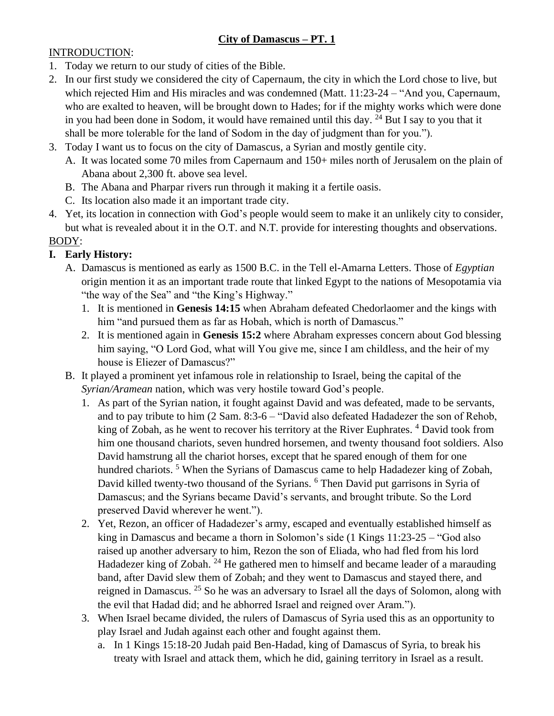# **City of Damascus – PT. 1**

### INTRODUCTION:

- 1. Today we return to our study of cities of the Bible.
- 2. In our first study we considered the city of Capernaum, the city in which the Lord chose to live, but which rejected Him and His miracles and was condemned (Matt. 11:23-24 – "And you, Capernaum, who are exalted to heaven, will be brought down to Hades; for if the mighty works which were done in you had been done in Sodom, it would have remained until this day.  $^{24}$  But I say to you that it shall be more tolerable for the land of Sodom in the day of judgment than for you.").
- 3. Today I want us to focus on the city of Damascus, a Syrian and mostly gentile city.
	- A. It was located some 70 miles from Capernaum and 150+ miles north of Jerusalem on the plain of Abana about 2,300 ft. above sea level.
	- B. The Abana and Pharpar rivers run through it making it a fertile oasis.
	- C. Its location also made it an important trade city.
- 4. Yet, its location in connection with God's people would seem to make it an unlikely city to consider, but what is revealed about it in the O.T. and N.T. provide for interesting thoughts and observations.

### BODY:

## **I. Early History:**

- A. Damascus is mentioned as early as 1500 B.C. in the Tell el-Amarna Letters. Those of *Egyptian* origin mention it as an important trade route that linked Egypt to the nations of Mesopotamia via "the way of the Sea" and "the King's Highway."
	- 1. It is mentioned in **Genesis 14:15** when Abraham defeated Chedorlaomer and the kings with him "and pursued them as far as Hobah, which is north of Damascus."
	- 2. It is mentioned again in **Genesis 15:2** where Abraham expresses concern about God blessing him saying, "O Lord God, what will You give me, since I am childless, and the heir of my house is Eliezer of Damascus?"
- B. It played a prominent yet infamous role in relationship to Israel, being the capital of the *Syrian/Aramean* nation, which was very hostile toward God's people.
	- 1. As part of the Syrian nation, it fought against David and was defeated, made to be servants, and to pay tribute to him (2 Sam. 8:3-6 – "David also defeated Hadadezer the son of Rehob, king of Zobah, as he went to recover his territory at the River Euphrates.<sup>4</sup> David took from him one thousand chariots, seven hundred horsemen, and twenty thousand foot soldiers. Also David hamstrung all the chariot horses, except that he spared enough of them for one hundred chariots.<sup>5</sup> When the Syrians of Damascus came to help Hadadezer king of Zobah, David killed twenty-two thousand of the Syrians. <sup>6</sup> Then David put garrisons in Syria of Damascus; and the Syrians became David's servants, and brought tribute. So the Lord preserved David wherever he went.").
	- 2. Yet, Rezon, an officer of Hadadezer's army, escaped and eventually established himself as king in Damascus and became a thorn in Solomon's side (1 Kings 11:23-25 – "God also raised up another adversary to him, Rezon the son of Eliada, who had fled from his lord Hadadezer king of Zobah.<sup>24</sup> He gathered men to himself and became leader of a marauding band, after David slew them of Zobah; and they went to Damascus and stayed there, and reigned in Damascus. <sup>25</sup> So he was an adversary to Israel all the days of Solomon, along with the evil that Hadad did; and he abhorred Israel and reigned over Aram.").
	- 3. When Israel became divided, the rulers of Damascus of Syria used this as an opportunity to play Israel and Judah against each other and fought against them.
		- a. In 1 Kings 15:18-20 Judah paid Ben-Hadad, king of Damascus of Syria, to break his treaty with Israel and attack them, which he did, gaining territory in Israel as a result.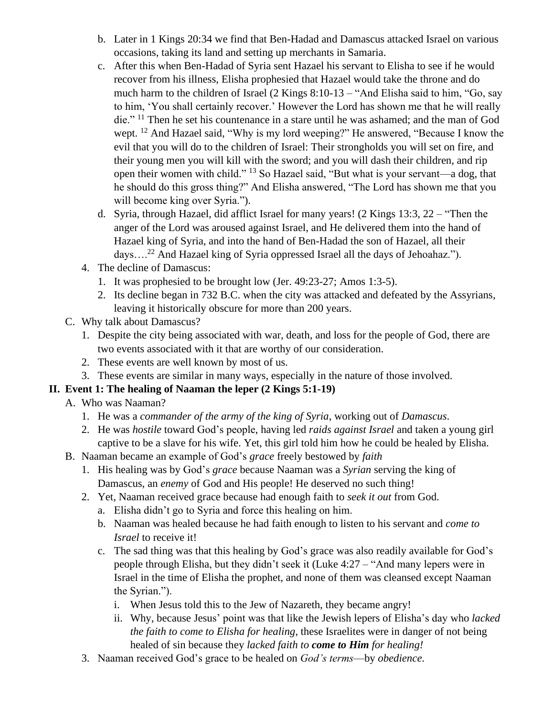- b. Later in 1 Kings 20:34 we find that Ben-Hadad and Damascus attacked Israel on various occasions, taking its land and setting up merchants in Samaria.
- c. After this when Ben-Hadad of Syria sent Hazael his servant to Elisha to see if he would recover from his illness, Elisha prophesied that Hazael would take the throne and do much harm to the children of Israel (2 Kings 8:10-13 – "And Elisha said to him, "Go, say to him, 'You shall certainly recover.' However the Lord has shown me that he will really die." <sup>11</sup> Then he set his countenance in a stare until he was ashamed; and the man of God wept. <sup>12</sup> And Hazael said, "Why is my lord weeping?" He answered, "Because I know the evil that you will do to the children of Israel: Their strongholds you will set on fire, and their young men you will kill with the sword; and you will dash their children, and rip open their women with child." <sup>13</sup> So Hazael said, "But what is your servant—a dog, that he should do this gross thing?" And Elisha answered, "The Lord has shown me that you will become king over Syria.").
- d. Syria, through Hazael, did afflict Israel for many years! (2 Kings 13:3, 22 "Then the anger of the Lord was aroused against Israel, and He delivered them into the hand of Hazael king of Syria, and into the hand of Ben-Hadad the son of Hazael, all their  $days....^{22}$  And Hazael king of Syria oppressed Israel all the days of Jehoahaz.").
- 4. The decline of Damascus:
	- 1. It was prophesied to be brought low (Jer. 49:23-27; Amos 1:3-5).
	- 2. Its decline began in 732 B.C. when the city was attacked and defeated by the Assyrians, leaving it historically obscure for more than 200 years.
- C. Why talk about Damascus?
	- 1. Despite the city being associated with war, death, and loss for the people of God, there are two events associated with it that are worthy of our consideration.
	- 2. These events are well known by most of us.
	- 3. These events are similar in many ways, especially in the nature of those involved.

### **II. Event 1: The healing of Naaman the leper (2 Kings 5:1-19)**

- A. Who was Naaman?
	- 1. He was a *commander of the army of the king of Syria*, working out of *Damascus*.
	- 2. He was *hostile* toward God's people, having led *raids against Israel* and taken a young girl captive to be a slave for his wife. Yet, this girl told him how he could be healed by Elisha.
- B. Naaman became an example of God's *grace* freely bestowed by *faith*
	- 1. His healing was by God's *grace* because Naaman was a *Syrian* serving the king of Damascus, an *enemy* of God and His people! He deserved no such thing!
	- 2. Yet, Naaman received grace because had enough faith to *seek it out* from God.
		- a. Elisha didn't go to Syria and force this healing on him.
		- b. Naaman was healed because he had faith enough to listen to his servant and *come to Israel* to receive it!
		- c. The sad thing was that this healing by God's grace was also readily available for God's people through Elisha, but they didn't seek it (Luke 4:27 – "And many lepers were in Israel in the time of Elisha the prophet, and none of them was cleansed except Naaman the Syrian.").
			- i. When Jesus told this to the Jew of Nazareth, they became angry!
			- ii. Why, because Jesus' point was that like the Jewish lepers of Elisha's day who *lacked the faith to come to Elisha for healing*, these Israelites were in danger of not being healed of sin because they *lacked faith to come to Him for healing!*
	- 3. Naaman received God's grace to be healed on *God's terms*—by *obedience.*